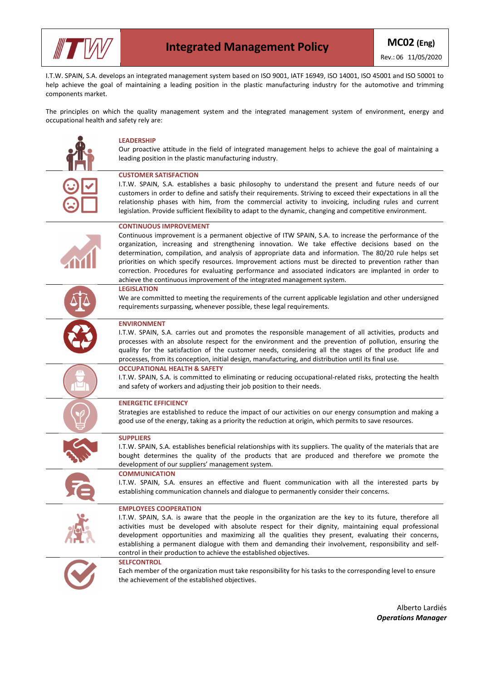

I.T.W. SPAIN, S.A. develops an integrated management system based on ISO 9001, IATF 16949, ISO 14001, ISO 45001 and ISO 50001 to help achieve the goal of maintaining a leading position in the plastic manufacturing industry for the automotive and trimming components market.

The principles on which the quality management system and the integrated management system of environment, energy and occupational health and safety rely are:

|                | <b>LEADERSHIP</b><br>Our proactive attitude in the field of integrated management helps to achieve the goal of maintaining a<br>leading position in the plastic manufacturing industry.                                                                                                                                                                                                                                                                                                                                                                                                                                                          |
|----------------|--------------------------------------------------------------------------------------------------------------------------------------------------------------------------------------------------------------------------------------------------------------------------------------------------------------------------------------------------------------------------------------------------------------------------------------------------------------------------------------------------------------------------------------------------------------------------------------------------------------------------------------------------|
|                | <b>CUSTOMER SATISFACTION</b><br>I.T.W. SPAIN, S.A. establishes a basic philosophy to understand the present and future needs of our<br>customers in order to define and satisfy their requirements. Striving to exceed their expectations in all the<br>relationship phases with him, from the commercial activity to invoicing, including rules and current<br>legislation. Provide sufficient flexibility to adapt to the dynamic, changing and competitive environment.                                                                                                                                                                       |
|                | <b>CONTINUOUS IMPROVEMENT</b><br>Continuous improvement is a permanent objective of ITW SPAIN, S.A. to increase the performance of the<br>organization, increasing and strengthening innovation. We take effective decisions based on the<br>determination, compilation, and analysis of appropriate data and information. The 80/20 rule helps set<br>priorities on which specify resources. Improvement actions must be directed to prevention rather than<br>correction. Procedures for evaluating performance and associated indicators are implanted in order to<br>achieve the continuous improvement of the integrated management system. |
|                | <b>LEGISLATION</b><br>We are committed to meeting the requirements of the current applicable legislation and other undersigned<br>requirements surpassing, whenever possible, these legal requirements.                                                                                                                                                                                                                                                                                                                                                                                                                                          |
|                | <b>ENVIRONMENT</b><br>I.T.W. SPAIN, S.A. carries out and promotes the responsible management of all activities, products and<br>processes with an absolute respect for the environment and the prevention of pollution, ensuring the<br>quality for the satisfaction of the customer needs, considering all the stages of the product life and<br>processes, from its conception, initial design, manufacturing, and distribution until its final use.                                                                                                                                                                                           |
|                | <b>OCCUPATIONAL HEALTH &amp; SAFETY</b><br>I.T.W. SPAIN, S.A. is committed to eliminating or reducing occupational-related risks, protecting the health<br>and safety of workers and adjusting their job position to their needs.                                                                                                                                                                                                                                                                                                                                                                                                                |
|                | <b>ENERGETIC EFFICIENCY</b><br>Strategies are established to reduce the impact of our activities on our energy consumption and making a<br>good use of the energy, taking as a priority the reduction at origin, which permits to save resources.                                                                                                                                                                                                                                                                                                                                                                                                |
|                | <b>SUPPLIERS</b><br>I.T.W. SPAIN, S.A. establishes beneficial relationships with its suppliers. The quality of the materials that are<br>bought determines the quality of the products that are produced and therefore we promote the<br>development of our suppliers' management system.                                                                                                                                                                                                                                                                                                                                                        |
|                | <b>COMMUNICATION</b><br>I.T.W. SPAIN, S.A. ensures an effective and fluent communication with all the interested parts by<br>establishing communication channels and dialogue to permanently consider their concerns.                                                                                                                                                                                                                                                                                                                                                                                                                            |
|                | <b>EMPLOYEES COOPERATION</b><br>I.T.W. SPAIN, S.A. is aware that the people in the organization are the key to its future, therefore all<br>activities must be developed with absolute respect for their dignity, maintaining equal professional<br>development opportunities and maximizing all the qualities they present, evaluating their concerns,<br>establishing a permanent dialogue with them and demanding their involvement, responsibility and self-<br>control in their production to achieve the established objectives.                                                                                                           |
| $\overline{C}$ | <b>SELFCONTROL</b><br>Each member of the organization must take responsibility for his tasks to the corresponding level to ensure<br>the achievement of the established objectives.                                                                                                                                                                                                                                                                                                                                                                                                                                                              |